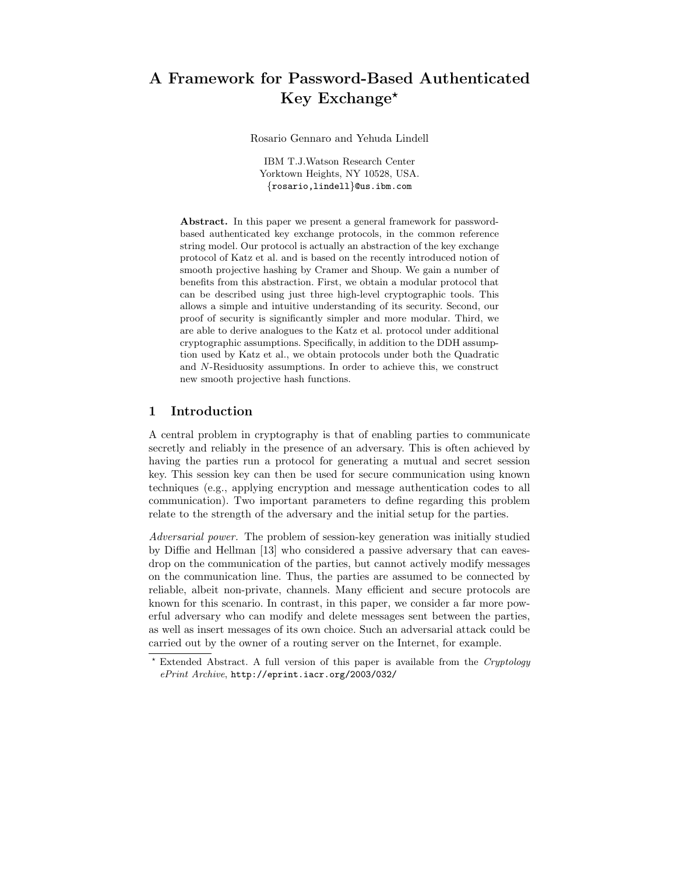# A Framework for Password-Based Authenticated Key Exchange<sup> $\star$ </sup>

Rosario Gennaro and Yehuda Lindell

IBM T.J.Watson Research Center Yorktown Heights, NY 10528, USA. {rosario,lindell}@us.ibm.com

Abstract. In this paper we present a general framework for passwordbased authenticated key exchange protocols, in the common reference string model. Our protocol is actually an abstraction of the key exchange protocol of Katz et al. and is based on the recently introduced notion of smooth projective hashing by Cramer and Shoup. We gain a number of benefits from this abstraction. First, we obtain a modular protocol that can be described using just three high-level cryptographic tools. This allows a simple and intuitive understanding of its security. Second, our proof of security is significantly simpler and more modular. Third, we are able to derive analogues to the Katz et al. protocol under additional cryptographic assumptions. Specifically, in addition to the DDH assumption used by Katz et al., we obtain protocols under both the Quadratic and N-Residuosity assumptions. In order to achieve this, we construct new smooth projective hash functions.

# 1 Introduction

A central problem in cryptography is that of enabling parties to communicate secretly and reliably in the presence of an adversary. This is often achieved by having the parties run a protocol for generating a mutual and secret session key. This session key can then be used for secure communication using known techniques (e.g., applying encryption and message authentication codes to all communication). Two important parameters to define regarding this problem relate to the strength of the adversary and the initial setup for the parties.

Adversarial power. The problem of session-key generation was initially studied by Diffie and Hellman [13] who considered a passive adversary that can eavesdrop on the communication of the parties, but cannot actively modify messages on the communication line. Thus, the parties are assumed to be connected by reliable, albeit non-private, channels. Many efficient and secure protocols are known for this scenario. In contrast, in this paper, we consider a far more powerful adversary who can modify and delete messages sent between the parties, as well as insert messages of its own choice. Such an adversarial attack could be carried out by the owner of a routing server on the Internet, for example.

<sup>\*</sup> Extended Abstract. A full version of this paper is available from the  $Cryptology$ ePrint Archive, http://eprint.iacr.org/2003/032/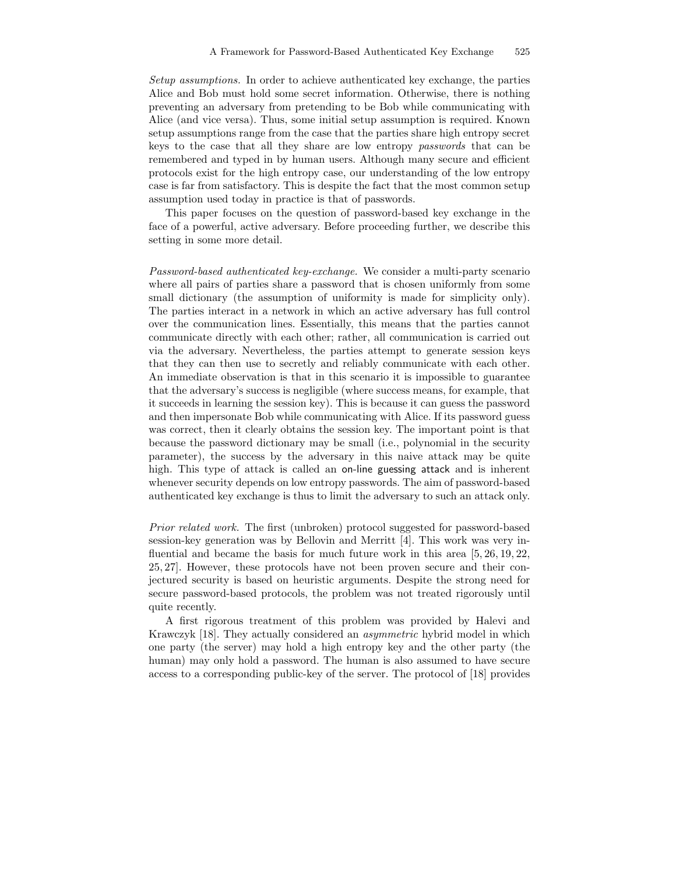Setup assumptions. In order to achieve authenticated key exchange, the parties Alice and Bob must hold some secret information. Otherwise, there is nothing preventing an adversary from pretending to be Bob while communicating with Alice (and vice versa). Thus, some initial setup assumption is required. Known setup assumptions range from the case that the parties share high entropy secret keys to the case that all they share are low entropy passwords that can be remembered and typed in by human users. Although many secure and efficient protocols exist for the high entropy case, our understanding of the low entropy case is far from satisfactory. This is despite the fact that the most common setup assumption used today in practice is that of passwords.

This paper focuses on the question of password-based key exchange in the face of a powerful, active adversary. Before proceeding further, we describe this setting in some more detail.

Password-based authenticated key-exchange. We consider a multi-party scenario where all pairs of parties share a password that is chosen uniformly from some small dictionary (the assumption of uniformity is made for simplicity only). The parties interact in a network in which an active adversary has full control over the communication lines. Essentially, this means that the parties cannot communicate directly with each other; rather, all communication is carried out via the adversary. Nevertheless, the parties attempt to generate session keys that they can then use to secretly and reliably communicate with each other. An immediate observation is that in this scenario it is impossible to guarantee that the adversary's success is negligible (where success means, for example, that it succeeds in learning the session key). This is because it can guess the password and then impersonate Bob while communicating with Alice. If its password guess was correct, then it clearly obtains the session key. The important point is that because the password dictionary may be small (i.e., polynomial in the security parameter), the success by the adversary in this naive attack may be quite high. This type of attack is called an on-line guessing attack and is inherent whenever security depends on low entropy passwords. The aim of password-based authenticated key exchange is thus to limit the adversary to such an attack only.

Prior related work. The first (unbroken) protocol suggested for password-based session-key generation was by Bellovin and Merritt [4]. This work was very influential and became the basis for much future work in this area [5, 26, 19, 22, 25, 27]. However, these protocols have not been proven secure and their conjectured security is based on heuristic arguments. Despite the strong need for secure password-based protocols, the problem was not treated rigorously until quite recently.

A first rigorous treatment of this problem was provided by Halevi and Krawczyk [18]. They actually considered an asymmetric hybrid model in which one party (the server) may hold a high entropy key and the other party (the human) may only hold a password. The human is also assumed to have secure access to a corresponding public-key of the server. The protocol of [18] provides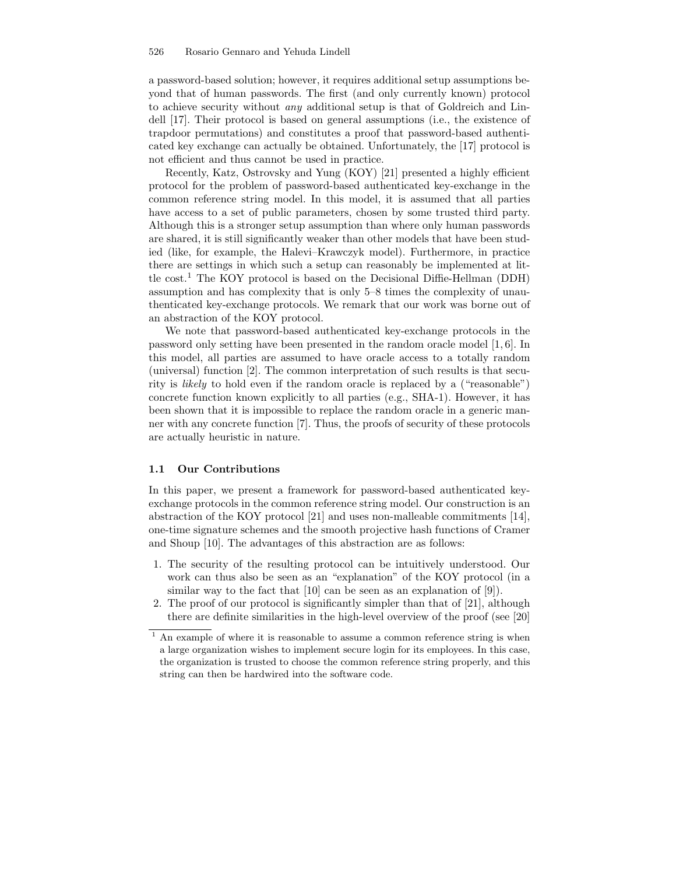a password-based solution; however, it requires additional setup assumptions beyond that of human passwords. The first (and only currently known) protocol to achieve security without any additional setup is that of Goldreich and Lindell [17]. Their protocol is based on general assumptions (i.e., the existence of trapdoor permutations) and constitutes a proof that password-based authenticated key exchange can actually be obtained. Unfortunately, the [17] protocol is not efficient and thus cannot be used in practice.

Recently, Katz, Ostrovsky and Yung (KOY) [21] presented a highly efficient protocol for the problem of password-based authenticated key-exchange in the common reference string model. In this model, it is assumed that all parties have access to a set of public parameters, chosen by some trusted third party. Although this is a stronger setup assumption than where only human passwords are shared, it is still significantly weaker than other models that have been studied (like, for example, the Halevi–Krawczyk model). Furthermore, in practice there are settings in which such a setup can reasonably be implemented at little cost.<sup>1</sup> The KOY protocol is based on the Decisional Diffie-Hellman (DDH) assumption and has complexity that is only 5–8 times the complexity of unauthenticated key-exchange protocols. We remark that our work was borne out of an abstraction of the KOY protocol.

We note that password-based authenticated key-exchange protocols in the password only setting have been presented in the random oracle model [1, 6]. In this model, all parties are assumed to have oracle access to a totally random (universal) function [2]. The common interpretation of such results is that security is likely to hold even if the random oracle is replaced by a ("reasonable") concrete function known explicitly to all parties (e.g., SHA-1). However, it has been shown that it is impossible to replace the random oracle in a generic manner with any concrete function [7]. Thus, the proofs of security of these protocols are actually heuristic in nature.

### 1.1 Our Contributions

In this paper, we present a framework for password-based authenticated keyexchange protocols in the common reference string model. Our construction is an abstraction of the KOY protocol [21] and uses non-malleable commitments [14], one-time signature schemes and the smooth projective hash functions of Cramer and Shoup [10]. The advantages of this abstraction are as follows:

- 1. The security of the resulting protocol can be intuitively understood. Our work can thus also be seen as an "explanation" of the KOY protocol (in a similar way to the fact that [10] can be seen as an explanation of [9]).
- 2. The proof of our protocol is significantly simpler than that of [21], although there are definite similarities in the high-level overview of the proof (see [20]

 $1$  An example of where it is reasonable to assume a common reference string is when a large organization wishes to implement secure login for its employees. In this case, the organization is trusted to choose the common reference string properly, and this string can then be hardwired into the software code.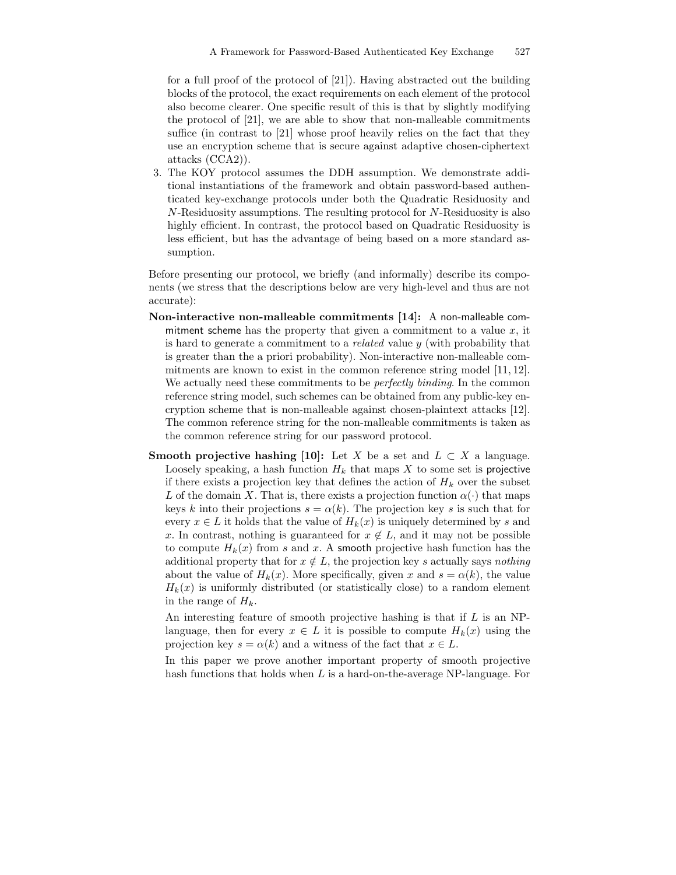for a full proof of the protocol of [21]). Having abstracted out the building blocks of the protocol, the exact requirements on each element of the protocol also become clearer. One specific result of this is that by slightly modifying the protocol of [21], we are able to show that non-malleable commitments suffice (in contrast to [21] whose proof heavily relies on the fact that they use an encryption scheme that is secure against adaptive chosen-ciphertext attacks (CCA2)).

3. The KOY protocol assumes the DDH assumption. We demonstrate additional instantiations of the framework and obtain password-based authenticated key-exchange protocols under both the Quadratic Residuosity and N-Residuosity assumptions. The resulting protocol for N-Residuosity is also highly efficient. In contrast, the protocol based on Quadratic Residuosity is less efficient, but has the advantage of being based on a more standard assumption.

Before presenting our protocol, we briefly (and informally) describe its components (we stress that the descriptions below are very high-level and thus are not accurate):

- Non-interactive non-malleable commitments [14]: A non-malleable commitment scheme has the property that given a commitment to a value  $x$ , it is hard to generate a commitment to a *related* value  $y$  (with probability that is greater than the a priori probability). Non-interactive non-malleable commitments are known to exist in the common reference string model [11, 12]. We actually need these commitments to be *perfectly binding*. In the common reference string model, such schemes can be obtained from any public-key encryption scheme that is non-malleable against chosen-plaintext attacks [12]. The common reference string for the non-malleable commitments is taken as the common reference string for our password protocol.
- Smooth projective hashing [10]: Let X be a set and  $L \subset X$  a language. Loosely speaking, a hash function  $H_k$  that maps X to some set is projective if there exists a projection key that defines the action of  $H_k$  over the subset L of the domain X. That is, there exists a projection function  $\alpha(\cdot)$  that maps keys k into their projections  $s = \alpha(k)$ . The projection key s is such that for every  $x \in L$  it holds that the value of  $H_k(x)$  is uniquely determined by s and x. In contrast, nothing is guaranteed for  $x \notin L$ , and it may not be possible to compute  $H_k(x)$  from s and x. A smooth projective hash function has the additional property that for  $x \notin L$ , the projection key s actually says nothing about the value of  $H_k(x)$ . More specifically, given x and  $s = \alpha(k)$ , the value  $H_k(x)$  is uniformly distributed (or statistically close) to a random element in the range of  $H_k$ .

An interesting feature of smooth projective hashing is that if  $L$  is an NPlanguage, then for every  $x \in L$  it is possible to compute  $H_k(x)$  using the projection key  $s = \alpha(k)$  and a witness of the fact that  $x \in L$ .

In this paper we prove another important property of smooth projective hash functions that holds when L is a hard-on-the-average NP-language. For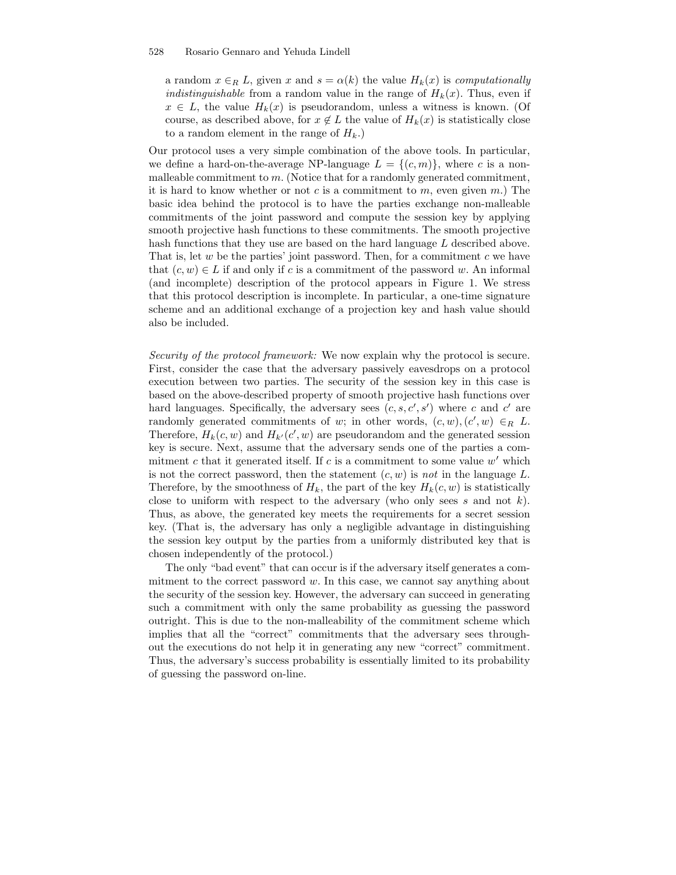a random  $x \in_R L$ , given x and  $s = \alpha(k)$  the value  $H_k(x)$  is *computationally indistinguishable* from a random value in the range of  $H_k(x)$ . Thus, even if  $x \in L$ , the value  $H_k(x)$  is pseudorandom, unless a witness is known. (Of course, as described above, for  $x \notin L$  the value of  $H_k(x)$  is statistically close to a random element in the range of  $H_k$ .)

Our protocol uses a very simple combination of the above tools. In particular, we define a hard-on-the-average NP-language  $L = \{(c, m)\}\)$ , where c is a nonmalleable commitment to  $m$ . (Notice that for a randomly generated commitment, it is hard to know whether or not  $c$  is a commitment to  $m$ , even given  $m$ .) The basic idea behind the protocol is to have the parties exchange non-malleable commitments of the joint password and compute the session key by applying smooth projective hash functions to these commitments. The smooth projective hash functions that they use are based on the hard language L described above. That is, let  $w$  be the parties' joint password. Then, for a commitment  $c$  we have that  $(c, w) \in L$  if and only if c is a commitment of the password w. An informal (and incomplete) description of the protocol appears in Figure 1. We stress that this protocol description is incomplete. In particular, a one-time signature scheme and an additional exchange of a projection key and hash value should also be included.

Security of the protocol framework: We now explain why the protocol is secure. First, consider the case that the adversary passively eavesdrops on a protocol execution between two parties. The security of the session key in this case is based on the above-described property of smooth projective hash functions over hard languages. Specifically, the adversary sees  $(c, s, c', s')$  where c and c' are randomly generated commitments of w; in other words,  $(c, w)$ ,  $(c', w) \in_R L$ . Therefore,  $H_k(c, w)$  and  $H_{k'}(c', w)$  are pseudorandom and the generated session key is secure. Next, assume that the adversary sends one of the parties a commitment c that it generated itself. If c is a commitment to some value  $w'$  which is not the correct password, then the statement  $(c, w)$  is not in the language L. Therefore, by the smoothness of  $H_k$ , the part of the key  $H_k(c, w)$  is statistically close to uniform with respect to the adversary (who only sees s and not  $k$ ). Thus, as above, the generated key meets the requirements for a secret session key. (That is, the adversary has only a negligible advantage in distinguishing the session key output by the parties from a uniformly distributed key that is chosen independently of the protocol.)

The only "bad event" that can occur is if the adversary itself generates a commitment to the correct password  $w$ . In this case, we cannot say anything about the security of the session key. However, the adversary can succeed in generating such a commitment with only the same probability as guessing the password outright. This is due to the non-malleability of the commitment scheme which implies that all the "correct" commitments that the adversary sees throughout the executions do not help it in generating any new "correct" commitment. Thus, the adversary's success probability is essentially limited to its probability of guessing the password on-line.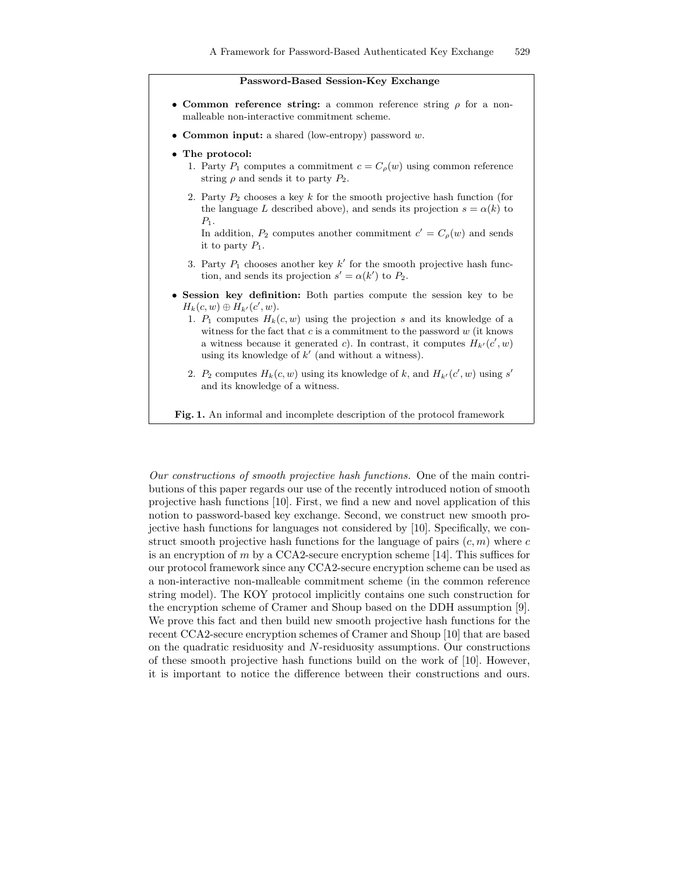### Password-Based Session-Key Exchange

- Common reference string: a common reference string  $\rho$  for a nonmalleable non-interactive commitment scheme.
- Common input: a shared (low-entropy) password  $w$ .
- The protocol:
	- 1. Party  $P_1$  computes a commitment  $c = C_\rho(w)$  using common reference string  $\rho$  and sends it to party  $P_2$ .
	- 2. Party  $P_2$  chooses a key k for the smooth projective hash function (for the language L described above), and sends its projection  $s = \alpha(k)$  to  $P_1$ .

In addition,  $P_2$  computes another commitment  $c' = C_\rho(w)$  and sends it to party  $P_1$ .

- 3. Party  $P_1$  chooses another key  $k'$  for the smooth projective hash function, and sends its projection  $s' = \alpha(k')$  to  $P_2$ .
- Session key definition: Both parties compute the session key to be  $H_k(c, w) \oplus H_{k'}(c', w).$ 
	- 1.  $P_1$  computes  $H_k(c, w)$  using the projection s and its knowledge of a witness for the fact that  $c$  is a commitment to the password  $w$  (it knows a witness because it generated c). In contrast, it computes  $H_{k'}(c', w)$ using its knowledge of  $k'$  (and without a witness).
	- 2.  $P_2$  computes  $H_k(c, w)$  using its knowledge of k, and  $H_{k'}(c', w)$  using s' and its knowledge of a witness.

Fig. 1. An informal and incomplete description of the protocol framework

Our constructions of smooth projective hash functions. One of the main contributions of this paper regards our use of the recently introduced notion of smooth projective hash functions [10]. First, we find a new and novel application of this notion to password-based key exchange. Second, we construct new smooth projective hash functions for languages not considered by [10]. Specifically, we construct smooth projective hash functions for the language of pairs  $(c, m)$  where c is an encryption of m by a CCA2-secure encryption scheme [14]. This suffices for our protocol framework since any CCA2-secure encryption scheme can be used as a non-interactive non-malleable commitment scheme (in the common reference string model). The KOY protocol implicitly contains one such construction for the encryption scheme of Cramer and Shoup based on the DDH assumption [9]. We prove this fact and then build new smooth projective hash functions for the recent CCA2-secure encryption schemes of Cramer and Shoup [10] that are based on the quadratic residuosity and N-residuosity assumptions. Our constructions of these smooth projective hash functions build on the work of [10]. However, it is important to notice the difference between their constructions and ours.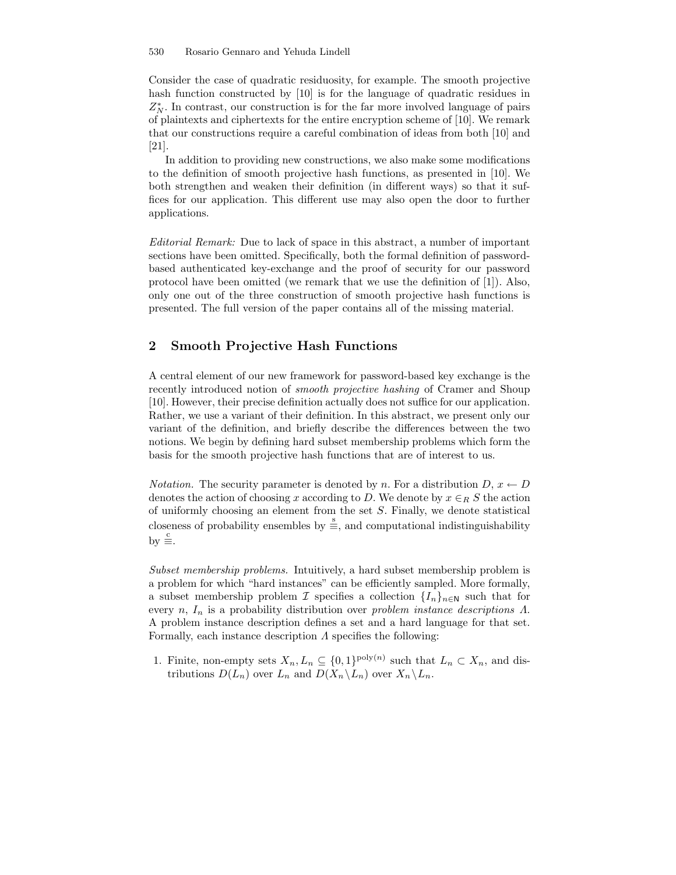#### 530 Rosario Gennaro and Yehuda Lindell

Consider the case of quadratic residuosity, for example. The smooth projective hash function constructed by [10] is for the language of quadratic residues in  $\mathbb{Z}_N^* .$  In contrast, our construction is for the far more involved language of pairs of plaintexts and ciphertexts for the entire encryption scheme of [10]. We remark that our constructions require a careful combination of ideas from both [10] and [21].

In addition to providing new constructions, we also make some modifications to the definition of smooth projective hash functions, as presented in [10]. We both strengthen and weaken their definition (in different ways) so that it suffices for our application. This different use may also open the door to further applications.

Editorial Remark: Due to lack of space in this abstract, a number of important sections have been omitted. Specifically, both the formal definition of passwordbased authenticated key-exchange and the proof of security for our password protocol have been omitted (we remark that we use the definition of [1]). Also, only one out of the three construction of smooth projective hash functions is presented. The full version of the paper contains all of the missing material.

# 2 Smooth Projective Hash Functions

A central element of our new framework for password-based key exchange is the recently introduced notion of *smooth projective hashing* of Cramer and Shoup [10]. However, their precise definition actually does not suffice for our application. Rather, we use a variant of their definition. In this abstract, we present only our variant of the definition, and briefly describe the differences between the two notions. We begin by defining hard subset membership problems which form the basis for the smooth projective hash functions that are of interest to us.

*Notation.* The security parameter is denoted by n. For a distribution  $D, x \leftarrow D$ denotes the action of choosing x according to D. We denote by  $x \in_R S$  the action of uniformly choosing an element from the set S. Finally, we denote statistical closeness of probability ensembles by  $\stackrel{s}{\equiv}$ , and computational indistinguishability by  $\stackrel{c}{\equiv}$ .

Subset membership problems. Intuitively, a hard subset membership problem is a problem for which "hard instances" can be efficiently sampled. More formally, a subset membership problem  $\mathcal I$  specifies a collection  $\{I_n\}_{n\in\mathbb N}$  such that for every n,  $I_n$  is a probability distribution over problem instance descriptions  $\Lambda$ . A problem instance description defines a set and a hard language for that set. Formally, each instance description  $\Lambda$  specifies the following:

1. Finite, non-empty sets  $X_n, L_n \subseteq \{0,1\}^{\text{poly}(n)}$  such that  $L_n \subset X_n$ , and distributions  $D(L_n)$  over  $L_n$  and  $D(X_n \backslash L_n)$  over  $X_n \backslash L_n$ .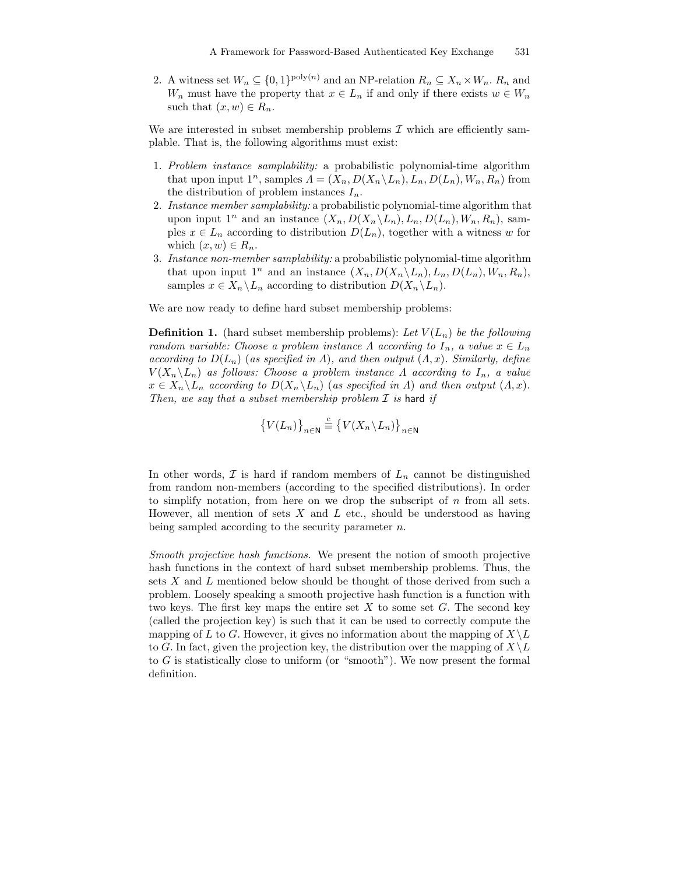2. A witness set  $W_n \subseteq \{0,1\}^{\text{poly}(n)}$  and an NP-relation  $R_n \subseteq X_n \times W_n$ .  $R_n$  and  $W_n$  must have the property that  $x \in L_n$  if and only if there exists  $w \in W_n$ such that  $(x, w) \in R_n$ .

We are interested in subset membership problems  $\mathcal I$  which are efficiently samplable. That is, the following algorithms must exist:

- 1. Problem instance samplability: a probabilistic polynomial-time algorithm that upon input  $1^n$ , samples  $\Lambda = (X_n, D(X_n \backslash L_n), L_n, D(L_n), W_n, R_n)$  from the distribution of problem instances  $I_n$ .
- 2. Instance member samplability: a probabilistic polynomial-time algorithm that upon input  $1^n$  and an instance  $(X_n, D(X_n \setminus L_n), L_n, D(L_n), W_n, R_n)$ , samples  $x \in L_n$  according to distribution  $D(L_n)$ , together with a witness w for which  $(x, w) \in R_n$ .
- 3. Instance non-member samplability: a probabilistic polynomial-time algorithm that upon input  $1^n$  and an instance  $(X_n, D(X_n \setminus L_n), L_n, D(L_n), W_n, R_n)$ , samples  $x \in X_n \backslash L_n$  according to distribution  $D(X_n \backslash L_n)$ .

We are now ready to define hard subset membership problems:

**Definition 1.** (hard subset membership problems): Let  $V(L_n)$  be the following random variable: Choose a problem instance  $\Lambda$  according to  $I_n$ , a value  $x \in L_n$ according to  $D(L_n)$  (as specified in A), and then output  $(\Lambda, x)$ . Similarly, define  $V(X_n \backslash L_n)$  as follows: Choose a problem instance  $\Lambda$  according to  $I_n$ , a value  $x \in X_n \backslash L_n$  according to  $D(X_n \backslash L_n)$  (as specified in  $\Lambda$ ) and then output  $(\Lambda, x)$ . Then, we say that a subset membership problem  $\mathcal I$  is hard if

$$
\left\{V(L_n)\right\}_{n\in\mathbb{N}}\stackrel{\text{c}}{=}\left\{V(X_n\backslash L_n)\right\}_{n\in\mathbb{N}}
$$

In other words,  $\mathcal I$  is hard if random members of  $L_n$  cannot be distinguished from random non-members (according to the specified distributions). In order to simplify notation, from here on we drop the subscript of  $n$  from all sets. However, all mention of sets  $X$  and  $L$  etc., should be understood as having being sampled according to the security parameter n.

Smooth projective hash functions. We present the notion of smooth projective hash functions in the context of hard subset membership problems. Thus, the sets  $X$  and  $L$  mentioned below should be thought of those derived from such a problem. Loosely speaking a smooth projective hash function is a function with two keys. The first key maps the entire set  $X$  to some set  $G$ . The second key (called the projection key) is such that it can be used to correctly compute the mapping of L to G. However, it gives no information about the mapping of  $X\backslash L$ to G. In fact, given the projection key, the distribution over the mapping of  $X\setminus L$ to G is statistically close to uniform (or "smooth"). We now present the formal definition.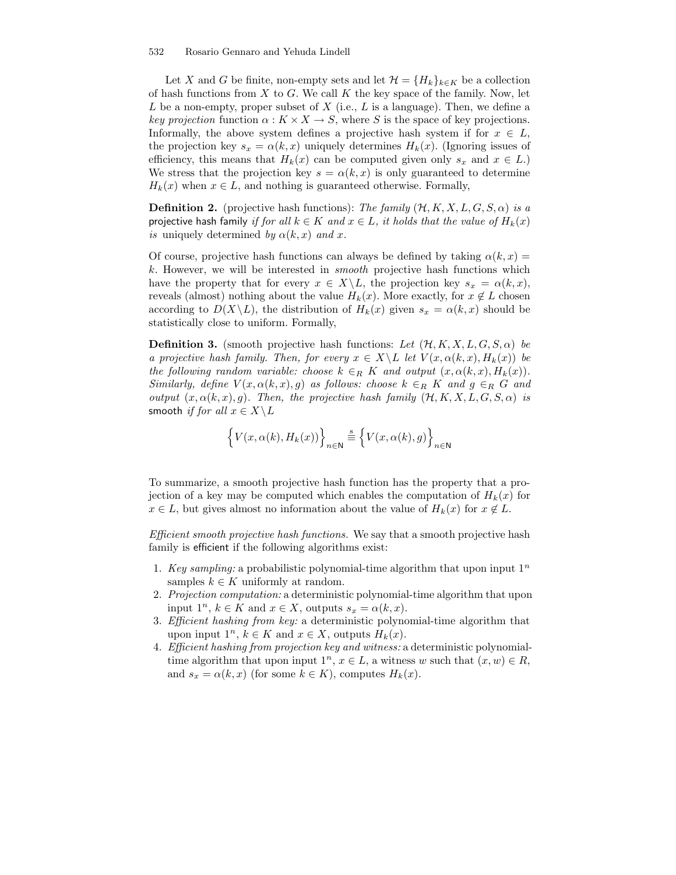#### 532 Rosario Gennaro and Yehuda Lindell

Let X and G be finite, non-empty sets and let  $\mathcal{H} = \{H_k\}_{k\in K}$  be a collection of hash functions from  $X$  to  $G$ . We call  $K$  the key space of the family. Now, let L be a non-empty, proper subset of X (i.e., L is a language). Then, we define a key projection function  $\alpha : K \times X \to S$ , where S is the space of key projections. Informally, the above system defines a projective hash system if for  $x \in L$ , the projection key  $s_x = \alpha(k, x)$  uniquely determines  $H_k(x)$ . (Ignoring issues of efficiency, this means that  $H_k(x)$  can be computed given only  $s_x$  and  $x \in L$ . We stress that the projection key  $s = \alpha(k, x)$  is only guaranteed to determine  $H_k(x)$  when  $x \in L$ , and nothing is guaranteed otherwise. Formally,

**Definition 2.** (projective hash functions): The family  $(\mathcal{H}, K, X, L, G, S, \alpha)$  is a projective hash family if for all  $k \in K$  and  $x \in L$ , it holds that the value of  $H_k(x)$ is uniquely determined by  $\alpha(k, x)$  and x.

Of course, projective hash functions can always be defined by taking  $\alpha(k, x) =$ k. However, we will be interested in smooth projective hash functions which have the property that for every  $x \in X \backslash L$ , the projection key  $s_x = \alpha(k, x)$ , reveals (almost) nothing about the value  $H_k(x)$ . More exactly, for  $x \notin L$  chosen according to  $D(X \backslash L)$ , the distribution of  $H_k(x)$  given  $s_x = \alpha(k, x)$  should be statistically close to uniform. Formally,

**Definition 3.** (smooth projective hash functions: Let  $(\mathcal{H}, K, X, L, G, S, \alpha)$  be a projective hash family. Then, for every  $x \in X \backslash L$  let  $V(x, \alpha(k, x), H_k(x))$  be the following random variable: choose  $k \in_R K$  and output  $(x, \alpha(k, x), H_k(x))$ . Similarly, define  $V(x, \alpha(k, x), g)$  as follows: choose  $k \in_R K$  and  $g \in_R G$  and output  $(x, \alpha(k, x), g)$ . Then, the projective hash family  $(\mathcal{H}, K, X, L, G, S, \alpha)$  is smooth if for all  $x \in X \backslash L$ 

$$
\left\{V(x,\alpha(k),H_k(x))\right\}_{n\in\mathbb{N}}\overset{\mathrm{s}}{=}\left\{V(x,\alpha(k),g)\right\}_{n\in\mathbb{N}}
$$

To summarize, a smooth projective hash function has the property that a projection of a key may be computed which enables the computation of  $H_k(x)$  for  $x \in L$ , but gives almost no information about the value of  $H_k(x)$  for  $x \notin L$ .

Efficient smooth projective hash functions. We say that a smooth projective hash family is efficient if the following algorithms exist:

- 1. Key sampling: a probabilistic polynomial-time algorithm that upon input  $1<sup>n</sup>$ samples  $k \in K$  uniformly at random.
- 2. Projection computation: a deterministic polynomial-time algorithm that upon input  $1^n, k \in K$  and  $x \in X$ , outputs  $s_x = \alpha(k, x)$ .
- 3. Efficient hashing from key: a deterministic polynomial-time algorithm that upon input  $1^n$ ,  $k \in K$  and  $x \in X$ , outputs  $H_k(x)$ .
- 4. Efficient hashing from projection key and witness: a deterministic polynomialtime algorithm that upon input  $1^n, x \in L$ , a witness w such that  $(x, w) \in R$ , and  $s_x = \alpha(k, x)$  (for some  $k \in K$ ), computes  $H_k(x)$ .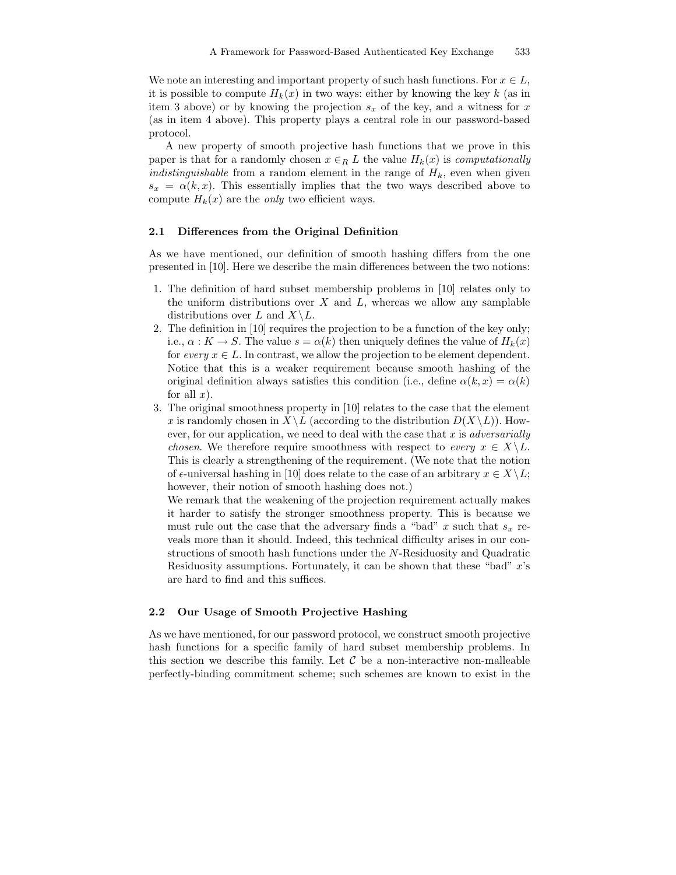We note an interesting and important property of such hash functions. For  $x \in L$ , it is possible to compute  $H_k(x)$  in two ways: either by knowing the key k (as in item 3 above) or by knowing the projection  $s_x$  of the key, and a witness for x (as in item 4 above). This property plays a central role in our password-based protocol.

A new property of smooth projective hash functions that we prove in this paper is that for a randomly chosen  $x \in_R L$  the value  $H_k(x)$  is *computationally indistinguishable* from a random element in the range of  $H_k$ , even when given  $s_x = \alpha(k, x)$ . This essentially implies that the two ways described above to compute  $H_k(x)$  are the *only* two efficient ways.

### 2.1 Differences from the Original Definition

As we have mentioned, our definition of smooth hashing differs from the one presented in [10]. Here we describe the main differences between the two notions:

- 1. The definition of hard subset membership problems in [10] relates only to the uniform distributions over  $X$  and  $L$ , whereas we allow any samplable distributions over L and  $X \backslash L$ .
- 2. The definition in [10] requires the projection to be a function of the key only; i.e.,  $\alpha: K \to S$ . The value  $s = \alpha(k)$  then uniquely defines the value of  $H_k(x)$ for every  $x \in L$ . In contrast, we allow the projection to be element dependent. Notice that this is a weaker requirement because smooth hashing of the original definition always satisfies this condition (i.e., define  $\alpha(k, x) = \alpha(k)$ ) for all  $x$ ).
- 3. The original smoothness property in [10] relates to the case that the element x is randomly chosen in  $X\setminus L$  (according to the distribution  $D(X\setminus L)$ ). However, for our application, we need to deal with the case that  $x$  is *adversarially chosen.* We therefore require smoothness with respect to every  $x \in X \backslash L$ . This is clearly a strengthening of the requirement. (We note that the notion of  $\epsilon$ -universal hashing in [10] does relate to the case of an arbitrary  $x \in X \backslash L$ ; however, their notion of smooth hashing does not.)

We remark that the weakening of the projection requirement actually makes it harder to satisfy the stronger smoothness property. This is because we must rule out the case that the adversary finds a "bad"  $x$  such that  $s_x$  reveals more than it should. Indeed, this technical difficulty arises in our constructions of smooth hash functions under the N-Residuosity and Quadratic Residuosity assumptions. Fortunately, it can be shown that these "bad" x's are hard to find and this suffices.

### 2.2 Our Usage of Smooth Projective Hashing

As we have mentioned, for our password protocol, we construct smooth projective hash functions for a specific family of hard subset membership problems. In this section we describe this family. Let  $C$  be a non-interactive non-malleable perfectly-binding commitment scheme; such schemes are known to exist in the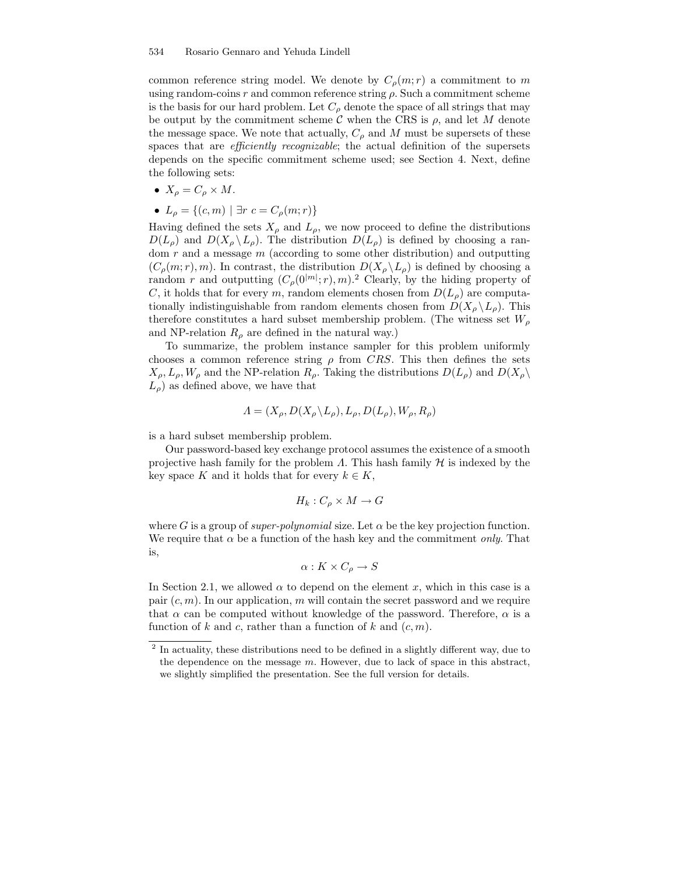common reference string model. We denote by  $C_{\rho}(m;r)$  a commitment to m using random-coins r and common reference string  $\rho$ . Such a commitment scheme is the basis for our hard problem. Let  $C_{\rho}$  denote the space of all strings that may be output by the commitment scheme  $\mathcal C$  when the CRS is  $\rho$ , and let M denote the message space. We note that actually,  $C_{\rho}$  and M must be supersets of these spaces that are *efficiently recognizable*; the actual definition of the supersets depends on the specific commitment scheme used; see Section 4. Next, define the following sets:

- $X_{\rho} = C_{\rho} \times M$ .
- $L_{\rho} = \{(c, m) \mid \exists r \ c = C_{\rho}(m; r)\}\$

Having defined the sets  $X_{\rho}$  and  $L_{\rho}$ , we now proceed to define the distributions  $D(L_{\rho})$  and  $D(X_{\rho} \setminus L_{\rho})$ . The distribution  $D(L_{\rho})$  is defined by choosing a ran $dom\ r$  and a message  $m$  (according to some other distribution) and outputting  $(C_{\rho}(m;r), m)$ . In contrast, the distribution  $D(X_{\rho} \backslash L_{\rho})$  is defined by choosing a random r and outputting  $(C_\rho(0^{|m|};r), m)$ .<sup>2</sup> Clearly, by the hiding property of C, it holds that for every m, random elements chosen from  $D(L_{\rho})$  are computationally indistinguishable from random elements chosen from  $D(X_{\rho} \backslash L_{\rho})$ . This therefore constitutes a hard subset membership problem. (The witness set  $W_{\rho}$ and NP-relation  $R_{\rho}$  are defined in the natural way.)

To summarize, the problem instance sampler for this problem uniformly chooses a common reference string  $\rho$  from CRS. This then defines the sets  $X_{\rho}, L_{\rho}, W_{\rho}$  and the NP-relation  $R_{\rho}$ . Taking the distributions  $D(L_{\rho})$  and  $D(X_{\rho})$  $L_{\rho}$ ) as defined above, we have that

$$
\Lambda = (X_{\rho}, D(X_{\rho} \backslash L_{\rho}), L_{\rho}, D(L_{\rho}), W_{\rho}, R_{\rho})
$$

is a hard subset membership problem.

Our password-based key exchange protocol assumes the existence of a smooth projective hash family for the problem  $\Lambda$ . This hash family  $\mathcal H$  is indexed by the key space K and it holds that for every  $k \in K$ ,

$$
H_k: C_\rho \times M \to G
$$

where G is a group of *super-polynomial* size. Let  $\alpha$  be the key projection function. We require that  $\alpha$  be a function of the hash key and the commitment only. That is,

$$
\alpha: K \times C_{\rho} \to S
$$

In Section 2.1, we allowed  $\alpha$  to depend on the element x, which in this case is a pair  $(c, m)$ . In our application, m will contain the secret password and we require that  $\alpha$  can be computed without knowledge of the password. Therefore,  $\alpha$  is a function of k and c, rather than a function of k and  $(c, m)$ .

<sup>&</sup>lt;sup>2</sup> In actuality, these distributions need to be defined in a slightly different way, due to the dependence on the message m. However, due to lack of space in this abstract, we slightly simplified the presentation. See the full version for details.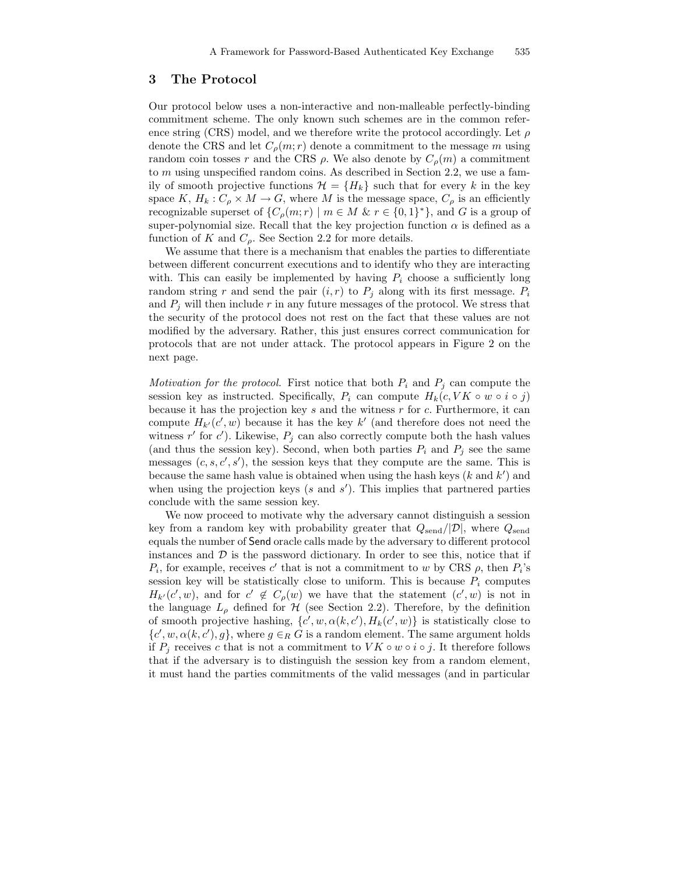# 3 The Protocol

Our protocol below uses a non-interactive and non-malleable perfectly-binding commitment scheme. The only known such schemes are in the common reference string (CRS) model, and we therefore write the protocol accordingly. Let  $\rho$ denote the CRS and let  $C_{\rho}(m;r)$  denote a commitment to the message m using random coin tosses r and the CRS  $\rho$ . We also denote by  $C_{\rho}(m)$  a commitment to m using unspecified random coins. As described in Section 2.2, we use a family of smooth projective functions  $\mathcal{H} = \{H_k\}$  such that for every k in the key space K,  $H_k: C_\rho \times M \to G$ , where M is the message space,  $C_\rho$  is an efficiently recognizable superset of  $\{C_{\rho}(m;r) \mid m \in M \& r \in \{0,1\}^*\}$ , and G is a group of super-polynomial size. Recall that the key projection function  $\alpha$  is defined as a function of K and  $C_{\rho}$ . See Section 2.2 for more details.

We assume that there is a mechanism that enables the parties to differentiate between different concurrent executions and to identify who they are interacting with. This can easily be implemented by having  $P_i$  choose a sufficiently long random string r and send the pair  $(i, r)$  to  $P_j$  along with its first message.  $P_i$ and  $P_i$  will then include r in any future messages of the protocol. We stress that the security of the protocol does not rest on the fact that these values are not modified by the adversary. Rather, this just ensures correct communication for protocols that are not under attack. The protocol appears in Figure 2 on the next page.

*Motivation for the protocol.* First notice that both  $P_i$  and  $P_j$  can compute the session key as instructed. Specifically,  $P_i$  can compute  $H_k(c, VK \circ w \circ i \circ j)$ because it has the projection key  $s$  and the witness  $r$  for  $c$ . Furthermore, it can compute  $H_{k'}(c', w)$  because it has the key  $k'$  (and therefore does not need the witness  $r'$  for  $c'$ ). Likewise,  $P_j$  can also correctly compute both the hash values (and thus the session key). Second, when both parties  $P_i$  and  $P_j$  see the same messages  $(c, s, c', s')$ , the session keys that they compute are the same. This is because the same hash value is obtained when using the hash keys  $(k \text{ and } k')$  and when using the projection keys  $(s \text{ and } s')$ . This implies that partnered parties conclude with the same session key.

We now proceed to motivate why the adversary cannot distinguish a session key from a random key with probability greater that  $Q_{\rm send}/|\mathcal{D}|$ , where  $Q_{\rm send}$ equals the number of Send oracle calls made by the adversary to different protocol instances and  $D$  is the password dictionary. In order to see this, notice that if  $P_i$ , for example, receives c' that is not a commitment to w by CRS  $\rho$ , then  $P_i$ 's session key will be statistically close to uniform. This is because  $P_i$  computes  $H_{k'}(c', w)$ , and for  $c' \notin C_{\rho}(w)$  we have that the statement  $(c', w)$  is not in the language  $L_{\rho}$  defined for  $H$  (see Section 2.2). Therefore, by the definition of smooth projective hashing,  $\{c', w, \alpha(k, c'), H_k(c', w)\}$  is statistically close to  ${c', w, \alpha(k, c'), g}$ , where  $g \in_R G$  is a random element. The same argument holds if  $P_i$  receives c that is not a commitment to  $VK \circ w \circ i \circ j$ . It therefore follows that if the adversary is to distinguish the session key from a random element, it must hand the parties commitments of the valid messages (and in particular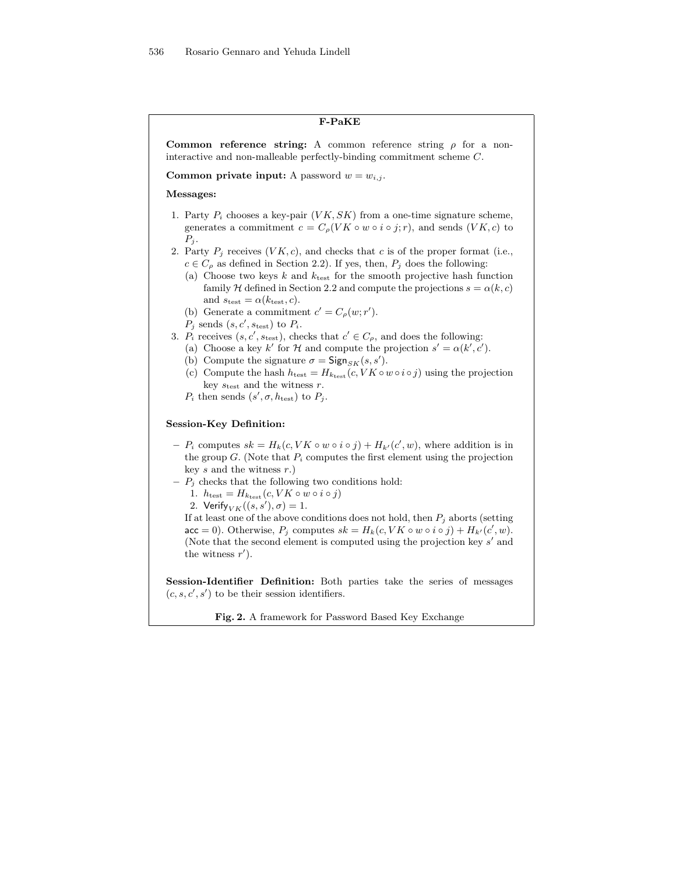## F-PaKE

Common reference string: A common reference string  $\rho$  for a noninteractive and non-malleable perfectly-binding commitment scheme C.

Common private input: A password  $w = w_{i,j}$ .

#### Messages:

- 1. Party  $P_i$  chooses a key-pair  $(VK, SK)$  from a one-time signature scheme, generates a commitment  $c = C<sub>\rho</sub>(VK \circ w \circ i \circ j; r)$ , and sends  $(VK, c)$  to  $P_j$ .
- 2. Party  $P_j$  receives  $(VK, c)$ , and checks that c is of the proper format (i.e.,  $c \in C_\rho$  as defined in Section 2.2). If yes, then,  $P_i$  does the following:
	- (a) Choose two keys  $k$  and  $k_{\text{test}}$  for the smooth projective hash function family H defined in Section 2.2 and compute the projections  $s = \alpha(k, c)$ and  $s_{\text{test}} = \alpha(k_{\text{test}}, c)$ .
	- (b) Generate a commitment  $c' = C_\rho(w; r')$ .
	- $P_j$  sends  $(s, c', s_{\text{test}})$  to  $P_i$ .
- 3.  $P_i$  receives  $(s, c', s_{\text{test}})$ , checks that  $c' \in C_\rho$ , and does the following:
	- (a) Choose a key k' for H and compute the projection  $s' = \alpha(k', c')$ .
	- (b) Compute the signature  $\sigma = \mathsf{Sign}_{SK}(s, s')$ .
	- (c) Compute the hash  $h_{\text{test}} = H_{k_{\text{test}}}(c, VK \circ w \circ i \circ j)$  using the projection key  $s_{\text{test}}$  and the witness  $r$ .
	- $P_i$  then sends  $(s', \sigma, h_{\text{test}})$  to  $P_j$ .

### Session-Key Definition:

- $P_i$  computes  $sk = H_k(c, VK \circ w \circ i \circ j) + H_{k'}(c', w)$ , where addition is in the group G. (Note that  $P_i$  computes the first element using the projection key  $s$  and the witness  $r$ .)
- $P_i$  checks that the following two conditions hold:
	- 1.  $h_{\text{test}} = H_{k_{\text{test}}}(c, VK \circ w \circ i \circ j)$
	- 2. Verify $V_{VK}((s, s'), \sigma) = 1.$

If at least one of the above conditions does not hold, then  $P_i$  aborts (setting  $\mathsf{acc} = 0$ ). Otherwise,  $P_j$  computes  $sk = H_k(c, VK \circ w \circ i \circ j) + H_{k'}(c', w)$ . (Note that the second element is computed using the projection key  $s'$  and the witness  $r'$ ).

Session-Identifier Definition: Both parties take the series of messages  $(c, s, c', s')$  to be their session identifiers.

Fig. 2. A framework for Password Based Key Exchange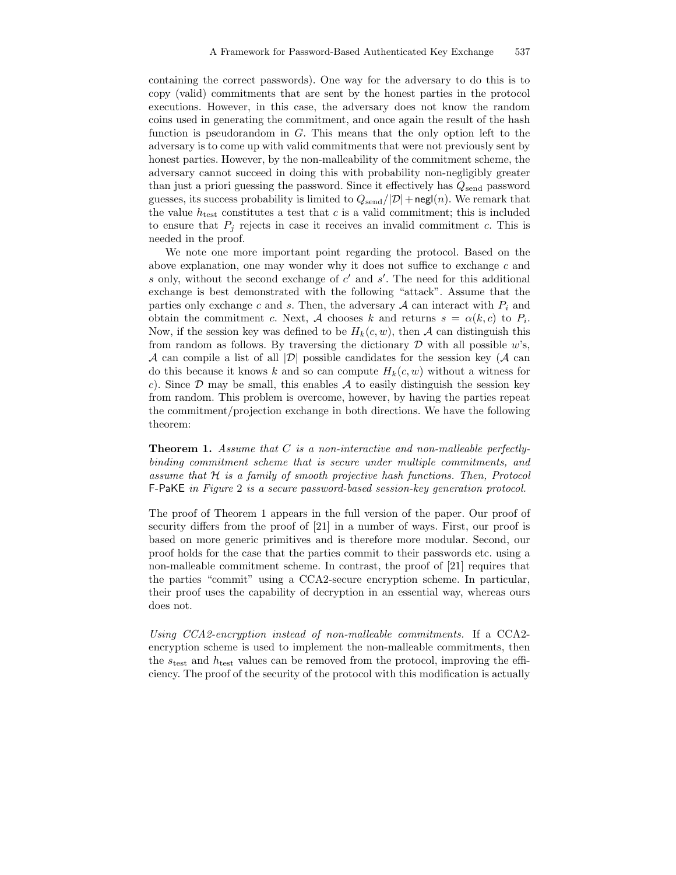containing the correct passwords). One way for the adversary to do this is to copy (valid) commitments that are sent by the honest parties in the protocol executions. However, in this case, the adversary does not know the random coins used in generating the commitment, and once again the result of the hash function is pseudorandom in G. This means that the only option left to the adversary is to come up with valid commitments that were not previously sent by honest parties. However, by the non-malleability of the commitment scheme, the adversary cannot succeed in doing this with probability non-negligibly greater than just a priori guessing the password. Since it effectively has  $Q_{\rm send}$  password guesses, its success probability is limited to  $Q_{\text{send}}/|\mathcal{D}| + \text{negl}(n)$ . We remark that the value  $h_{\text{test}}$  constitutes a test that c is a valid commitment; this is included to ensure that  $P_i$  rejects in case it receives an invalid commitment c. This is needed in the proof.

We note one more important point regarding the protocol. Based on the above explanation, one may wonder why it does not suffice to exchange  $c$  and s only, without the second exchange of  $c'$  and  $s'$ . The need for this additional exchange is best demonstrated with the following "attack". Assume that the parties only exchange c and s. Then, the adversary  $A$  can interact with  $P_i$  and obtain the commitment c. Next, A chooses k and returns  $s = \alpha(k, c)$  to  $P_i$ . Now, if the session key was defined to be  $H_k(c, w)$ , then A can distinguish this from random as follows. By traversing the dictionary  $D$  with all possible w's, A can compile a list of all  $|\mathcal{D}|$  possible candidates for the session key (A can do this because it knows k and so can compute  $H_k(c, w)$  without a witness for c). Since  $\mathcal D$  may be small, this enables  $\mathcal A$  to easily distinguish the session key from random. This problem is overcome, however, by having the parties repeat the commitment/projection exchange in both directions. We have the following theorem:

Theorem 1. Assume that C is a non-interactive and non-malleable perfectlybinding commitment scheme that is secure under multiple commitments, and assume that  $H$  is a family of smooth projective hash functions. Then, Protocol F-PaKE in Figure 2 is a secure password-based session-key generation protocol.

The proof of Theorem 1 appears in the full version of the paper. Our proof of security differs from the proof of [21] in a number of ways. First, our proof is based on more generic primitives and is therefore more modular. Second, our proof holds for the case that the parties commit to their passwords etc. using a non-malleable commitment scheme. In contrast, the proof of [21] requires that the parties "commit" using a CCA2-secure encryption scheme. In particular, their proof uses the capability of decryption in an essential way, whereas ours does not.

Using CCA2-encryption instead of non-malleable commitments. If a CCA2 encryption scheme is used to implement the non-malleable commitments, then the  $s_{\text{test}}$  and  $h_{\text{test}}$  values can be removed from the protocol, improving the efficiency. The proof of the security of the protocol with this modification is actually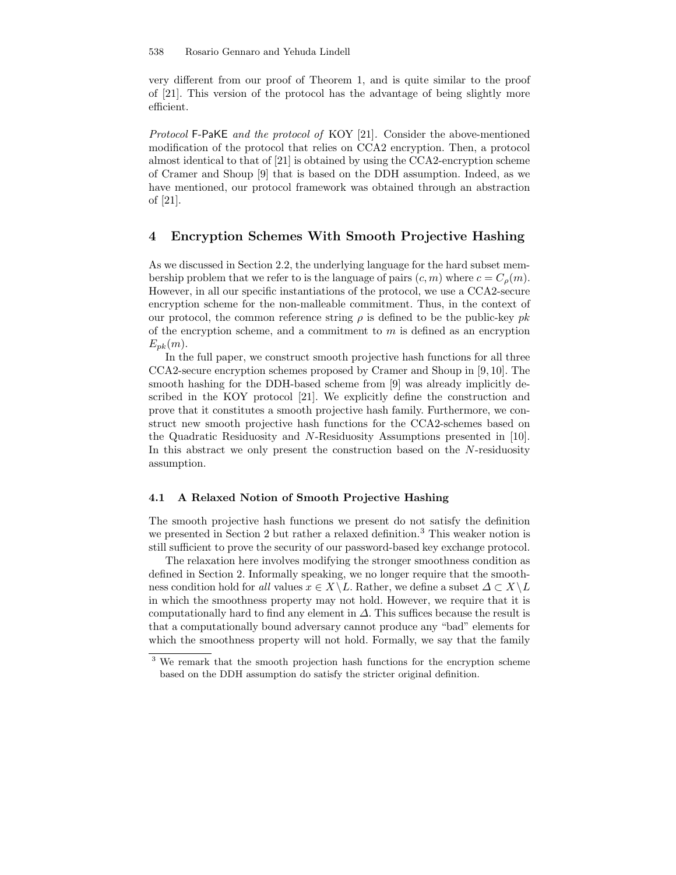very different from our proof of Theorem 1, and is quite similar to the proof of [21]. This version of the protocol has the advantage of being slightly more efficient.

Protocol F-PaKE and the protocol of KOY [21]. Consider the above-mentioned modification of the protocol that relies on CCA2 encryption. Then, a protocol almost identical to that of [21] is obtained by using the CCA2-encryption scheme of Cramer and Shoup [9] that is based on the DDH assumption. Indeed, as we have mentioned, our protocol framework was obtained through an abstraction of [21].

# 4 Encryption Schemes With Smooth Projective Hashing

As we discussed in Section 2.2, the underlying language for the hard subset membership problem that we refer to is the language of pairs  $(c, m)$  where  $c = C<sub>\rho</sub>(m)$ . However, in all our specific instantiations of the protocol, we use a CCA2-secure encryption scheme for the non-malleable commitment. Thus, in the context of our protocol, the common reference string  $\rho$  is defined to be the public-key pk of the encryption scheme, and a commitment to  $m$  is defined as an encryption  $E_{pk}(m)$ .

In the full paper, we construct smooth projective hash functions for all three CCA2-secure encryption schemes proposed by Cramer and Shoup in [9, 10]. The smooth hashing for the DDH-based scheme from [9] was already implicitly described in the KOY protocol [21]. We explicitly define the construction and prove that it constitutes a smooth projective hash family. Furthermore, we construct new smooth projective hash functions for the CCA2-schemes based on the Quadratic Residuosity and N-Residuosity Assumptions presented in [10]. In this abstract we only present the construction based on the N-residuosity assumption.

### 4.1 A Relaxed Notion of Smooth Projective Hashing

The smooth projective hash functions we present do not satisfy the definition we presented in Section 2 but rather a relaxed definition.<sup>3</sup> This weaker notion is still sufficient to prove the security of our password-based key exchange protocol.

The relaxation here involves modifying the stronger smoothness condition as defined in Section 2. Informally speaking, we no longer require that the smoothness condition hold for all values  $x \in X \backslash L$ . Rather, we define a subset  $\Delta \subset X \backslash L$ in which the smoothness property may not hold. However, we require that it is computationally hard to find any element in  $\Delta$ . This suffices because the result is that a computationally bound adversary cannot produce any "bad" elements for which the smoothness property will not hold. Formally, we say that the family

<sup>&</sup>lt;sup>3</sup> We remark that the smooth projection hash functions for the encryption scheme based on the DDH assumption do satisfy the stricter original definition.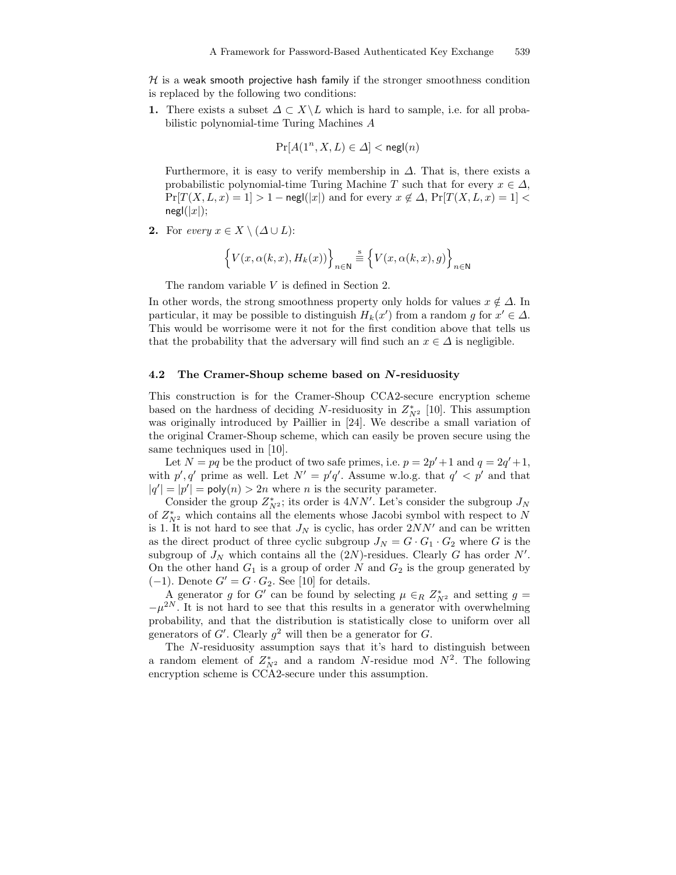$H$  is a weak smooth projective hash family if the stronger smoothness condition is replaced by the following two conditions:

1. There exists a subset  $\Delta \subset X \backslash L$  which is hard to sample, i.e. for all probabilistic polynomial-time Turing Machines A

$$
\Pr[A(1^n, X, L) \in \Delta] < \mathsf{negl}(n)
$$

Furthermore, it is easy to verify membership in  $\Delta$ . That is, there exists a probabilistic polynomial-time Turing Machine T such that for every  $x \in \Delta$ ,  $Pr[T(X, L, x) = 1] > 1 - negl(|x|)$  and for every  $x \notin \Delta$ ,  $Pr[T(X, L, x) = 1] <$  $negl(|x|);$ 

2. For every  $x \in X \setminus (\Delta \cup L)$ :

$$
\left\{V(x,\alpha(k,x),H_k(x))\right\}_{n\in\mathbb{N}} \stackrel{\text{s}}{=} \left\{V(x,\alpha(k,x),g)\right\}_{n\in\mathbb{N}}
$$

The random variable V is defined in Section 2.

In other words, the strong smoothness property only holds for values  $x \notin \Delta$ . In particular, it may be possible to distinguish  $H_k(x')$  from a random g for  $x' \in \Delta$ . This would be worrisome were it not for the first condition above that tells us that the probability that the adversary will find such an  $x \in \Delta$  is negligible.

### 4.2 The Cramer-Shoup scheme based on N-residuosity

This construction is for the Cramer-Shoup CCA2-secure encryption scheme based on the hardness of deciding N-residuosity in  $Z_{N^2}^*$  [10]. This assumption was originally introduced by Paillier in [24]. We describe a small variation of the original Cramer-Shoup scheme, which can easily be proven secure using the same techniques used in [10].

Let  $N = pq$  be the product of two safe primes, i.e.  $p = 2p' + 1$  and  $q = 2q' + 1$ , with  $p', q'$  prime as well. Let  $N' = p'q'$ . Assume w.lo.g. that  $q' < p'$  and that  $|q'| = |p'| = \text{poly}(n) > 2n$  where *n* is the security parameter.

Consider the group  $Z_{N^2}^*$ ; its order is  $4NN'$ . Let's consider the subgroup  $J_N$ of  $Z_{N^2}^*$  which contains all the elements whose Jacobi symbol with respect to N is 1. It is not hard to see that  $J_N$  is cyclic, has order  $2NN'$  and can be written as the direct product of three cyclic subgroup  $J_N = G \cdot G_1 \cdot G_2$  where G is the subgroup of  $J_N$  which contains all the  $(2N)$ -residues. Clearly G has order N'. On the other hand  $G_1$  is a group of order N and  $G_2$  is the group generated by  $(-1)$ . Denote  $G' = G \cdot G_2$ . See [10] for details.

A generator g for G' can be found by selecting  $\mu \in_R Z^*_{N^2}$  and setting  $g =$  $-\mu^{2N}$ . It is not hard to see that this results in a generator with overwhelming probability, and that the distribution is statistically close to uniform over all generators of  $G'$ . Clearly  $g^2$  will then be a generator for  $G$ .

The N-residuosity assumption says that it's hard to distinguish between a random element of  $Z_{N^2}^*$  and a random N-residue mod  $N^2$ . The following encryption scheme is CCA2-secure under this assumption.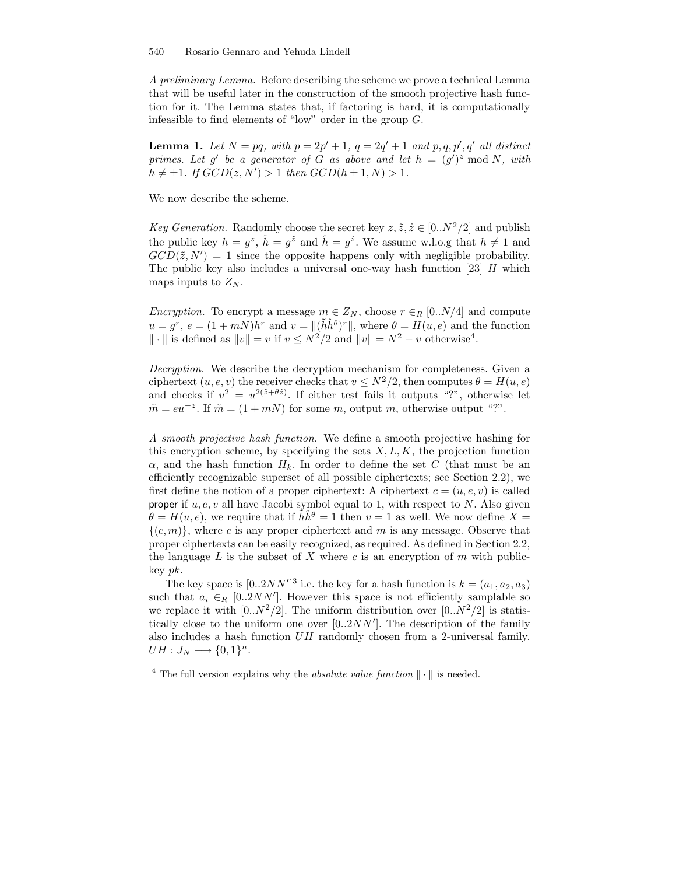A preliminary Lemma. Before describing the scheme we prove a technical Lemma that will be useful later in the construction of the smooth projective hash function for it. The Lemma states that, if factoring is hard, it is computationally infeasible to find elements of "low" order in the group G.

**Lemma 1.** Let  $N = pq$ , with  $p = 2p' + 1$ ,  $q = 2q' + 1$  and  $p, q, p', q'$  all distinct primes. Let g' be a generator of G as above and let  $h = (g')^z \mod N$ , with  $h \neq \pm 1$ . If  $GCD(z, N') > 1$  then  $GCD(h \pm 1, N) > 1$ .

We now describe the scheme.

Key Generation. Randomly choose the secret key  $z, \tilde{z}, \tilde{z} \in [0..N^2/2]$  and publish the public key  $h = g^z$ ,  $\tilde{h} = g^{\tilde{z}}$  and  $\hat{h} = g^{\tilde{z}}$ . We assume w.l.o.g that  $h \neq 1$  and  $GCD(\tilde{z}, N') = 1$  since the opposite happens only with negligible probability. The public key also includes a universal one-way hash function [23]  $H$  which maps inputs to  $Z_N$ .

Encryption. To encrypt a message  $m \in Z_N$ , choose  $r \in_R [0..N/4]$  and compute  $u = g^r, e = (1 + mN)h^r$  and  $v = ||(\tilde{h}\hat{h}^\theta)^r||$ , where  $\theta = H(u, e)$  and the function  $\|\cdot\|$  is defined as  $\|v\| = v$  if  $v \leq N^2/2$  and  $\|v\| = N^2 - v$  otherwise<sup>4</sup>.

Decryption. We describe the decryption mechanism for completeness. Given a ciphertext  $(u, e, v)$  the receiver checks that  $v \leq N^2/2$ , then computes  $\theta = H(u, e)$ and checks if  $v^2 = u^{2(\tilde{z}+\theta\tilde{z})}$ . If either test fails it outputs "?", otherwise let  $\tilde{m} = eu^{-z}$ . If  $\tilde{m} = (1 + mN)$  for some m, output m, otherwise output "?".

A smooth projective hash function. We define a smooth projective hashing for this encryption scheme, by specifying the sets  $X, L, K$ , the projection function  $\alpha$ , and the hash function  $H_k$ . In order to define the set C (that must be an efficiently recognizable superset of all possible ciphertexts; see Section 2.2), we first define the notion of a proper ciphertext: A ciphertext  $c = (u, e, v)$  is called proper if  $u, e, v$  all have Jacobi symbol equal to 1, with respect to N. Also given  $\theta = H(u, e)$ , we require that if  $\tilde{h} \hat{h}^{\theta} = 1$  then  $v = 1$  as well. We now define  $X =$  $\{(c,m)\}\)$ , where c is any proper ciphertext and m is any message. Observe that proper ciphertexts can be easily recognized, as required. As defined in Section 2.2, the language  $L$  is the subset of  $X$  where  $c$  is an encryption of  $m$  with publickey pk.

The key space is  $[0..2NN']^3$  i.e. the key for a hash function is  $k = (a_1, a_2, a_3)$ such that  $a_i \in_R [0..2NN']$ . However this space is not efficiently samplable so we replace it with  $[0..N^2/2]$ . The uniform distribution over  $[0..N^2/2]$  is statistically close to the uniform one over  $[0..2NN']$ . The description of the family also includes a hash function UH randomly chosen from a 2-universal family.  $UH: J_N \longrightarrow \{0,1\}^n$ .

<sup>&</sup>lt;sup>4</sup> The full version explains why the *absolute value function*  $\|\cdot\|$  is needed.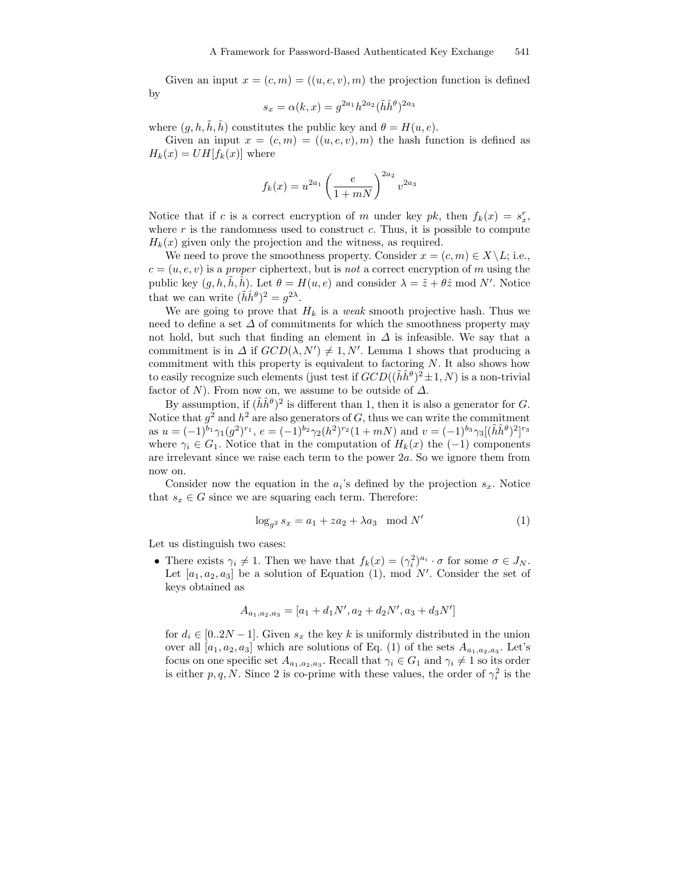Given an input  $x = (c, m) = ((u, e, v), m)$  the projection function is defined by

$$
s_x = \alpha(k, x) = g^{2a_1} h^{2a_2} (\tilde{h} \hat{h}^{\theta})^{2a_3}
$$

where  $(g, h, \tilde{h}, \hat{h})$  constitutes the public key and  $\theta = H(u, e)$ .

Given an input  $x = (c, m) = ((u, e, v), m)$  the hash function is defined as  $H_k(x) = UH[f_k(x)]$  where

$$
f_k(x) = u^{2a_1} \left(\frac{e}{1+mN}\right)^{2a_2} v^{2a_3}
$$

Notice that if c is a correct encryption of m under key pk, then  $f_k(x) = s_x^r$ , where  $r$  is the randomness used to construct  $c$ . Thus, it is possible to compute  $H_k(x)$  given only the projection and the witness, as required.

We need to prove the smoothness property. Consider  $x = (c, m) \in X \backslash L$ ; i.e.,  $c = (u, e, v)$  is a proper ciphertext, but is not a correct encryption of m using the public key  $(g, h, \tilde{h}, \hat{h})$ . Let  $\theta = H(u, e)$  and consider  $\lambda = \tilde{z} + \theta \hat{z} \mod N'$ . Notice that we can write  $(\tilde{h}\hat{h}^{\theta})^2 = g^{2\lambda}$ .

We are going to prove that  $H_k$  is a weak smooth projective hash. Thus we need to define a set  $\Delta$  of commitments for which the smoothness property may not hold, but such that finding an element in  $\Delta$  is infeasible. We say that a commitment is in  $\Delta$  if  $GCD(\lambda, N') \neq 1, N'$ . Lemma 1 shows that producing a commitment with this property is equivalent to factoring  $N$ . It also shows how to easily recognize such elements (just test if  $GCD((\tilde{h}\hat{h}^{\theta})^2 \pm 1, N)$  is a non-trivial factor of N). From now on, we assume to be outside of  $\Delta$ .

By assumption, if  $(\tilde{h}\hat{h}^{\theta})^2$  is different than 1, then it is also a generator for G. Notice that  $g^2$  and  $h^2$  are also generators of G, thus we can write the commitment as  $u = (-1)^{\tilde{b}_1} \gamma_1 (g^2)^{r_1}, e = (-1)^{b_2} \gamma_2 (h^2)^{r_2} (1 + mN)$  and  $v = (-1)^{b_3} \gamma_3 [(\tilde{h}h^{\theta})^2]^{r_3}$ where  $\gamma_i \in G_1$ . Notice that in the computation of  $H_k(x)$  the (-1) components are irrelevant since we raise each term to the power 2a. So we ignore them from now on.

Consider now the equation in the  $a_i$ 's defined by the projection  $s_x$ . Notice that  $s_x \in G$  since we are squaring each term. Therefore:

$$
\log_{g^2} s_x = a_1 + za_2 + \lambda a_3 \mod N'
$$
 (1)

Let us distinguish two cases:

• There exists  $\gamma_i \neq 1$ . Then we have that  $f_k(x) = (\gamma_i^2)^{a_i} \cdot \sigma$  for some  $\sigma \in J_N$ . Let  $[a_1, a_2, a_3]$  be a solution of Equation (1), mod N'. Consider the set of keys obtained as

$$
A_{a_1, a_2, a_3} = [a_1 + d_1 N', a_2 + d_2 N', a_3 + d_3 N']
$$

for  $d_i \in [0..2N-1]$ . Given  $s_x$  the key k is uniformly distributed in the union over all  $[a_1, a_2, a_3]$  which are solutions of Eq. (1) of the sets  $A_{a_1, a_2, a_3}$ . Let's focus on one specific set  $A_{a_1,a_2,a_3}$ . Recall that  $\gamma_i \in G_1$  and  $\gamma_i \neq 1$  so its order is either p, q, N. Since 2 is co-prime with these values, the order of  $\gamma_i^2$  is the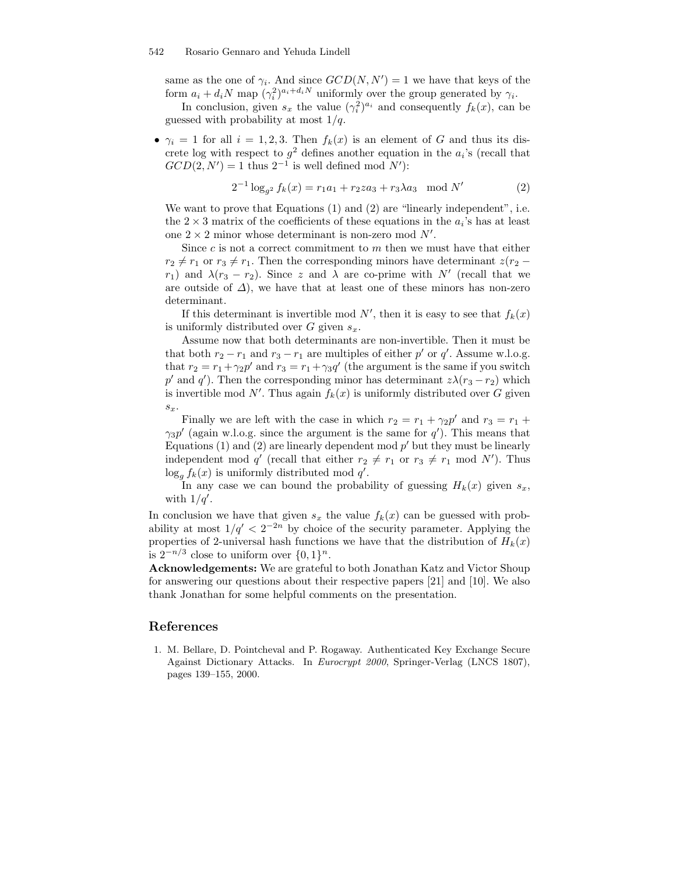same as the one of  $\gamma_i$ . And since  $GCD(N, N') = 1$  we have that keys of the form  $a_i + d_i N$  map  $(\gamma_i^2)^{a_i + d_i N}$  uniformly over the group generated by  $\gamma_i$ .

In conclusion, given  $s_x$  the value  $(\gamma_i^2)^{a_i}$  and consequently  $f_k(x)$ , can be guessed with probability at most  $1/q$ .

•  $\gamma_i = 1$  for all  $i = 1, 2, 3$ . Then  $f_k(x)$  is an element of G and thus its discrete log with respect to  $g^2$  defines another equation in the  $a_i$ 's (recall that  $GCD(2, N') = 1$  thus  $2^{-1}$  is well defined mod N'):

$$
2^{-1}\log_{g^2} f_k(x) = r_1 a_1 + r_2 z a_3 + r_3 \lambda a_3 \mod N'
$$
 (2)

We want to prove that Equations  $(1)$  and  $(2)$  are "linearly independent", i.e. the  $2 \times 3$  matrix of the coefficients of these equations in the  $a_i$ 's has at least one  $2 \times 2$  minor whose determinant is non-zero mod  $N'$ .

Since  $c$  is not a correct commitment to  $m$  then we must have that either  $r_2 \neq r_1$  or  $r_3 \neq r_1$ . Then the corresponding minors have determinant  $z(r_2$  $r_1$ ) and  $\lambda(r_3 - r_2)$ . Since z and  $\lambda$  are co-prime with N' (recall that we are outside of  $\Delta$ ), we have that at least one of these minors has non-zero determinant.

If this determinant is invertible mod  $N'$ , then it is easy to see that  $f_k(x)$ is uniformly distributed over  $G$  given  $s_x$ .

Assume now that both determinants are non-invertible. Then it must be that both  $r_2 - r_1$  and  $r_3 - r_1$  are multiples of either  $p'$  or  $q'$ . Assume w.l.o.g. that  $r_2 = r_1 + \gamma_2 p'$  and  $r_3 = r_1 + \gamma_3 q'$  (the argument is the same if you switch  $p'$  and  $q'$ ). Then the corresponding minor has determinant  $z\lambda(r_3 - r_2)$  which is invertible mod  $N'$ . Thus again  $f_k(x)$  is uniformly distributed over G given  $s_x$ .

Finally we are left with the case in which  $r_2 = r_1 + \gamma_2 p'$  and  $r_3 = r_1 + \gamma_3 p'$  $\gamma_3 p'$  (again w.l.o.g. since the argument is the same for q'). This means that Equations  $(1)$  and  $(2)$  are linearly dependent mod  $p'$  but they must be linearly independent mod q' (recall that either  $r_2 \neq r_1$  or  $r_3 \neq r_1$  mod N'). Thus  $\log_g f_k(x)$  is uniformly distributed mod q'.

In any case we can bound the probability of guessing  $H_k(x)$  given  $s_x$ , with  $1/q'$ .

In conclusion we have that given  $s_x$  the value  $f_k(x)$  can be guessed with probability at most  $1/q' < 2^{-2n}$  by choice of the security parameter. Applying the properties of 2-universal hash functions we have that the distribution of  $H_k(x)$ is  $2^{-n/3}$  close to uniform over  $\{0,1\}^n$ .

Acknowledgements: We are grateful to both Jonathan Katz and Victor Shoup for answering our questions about their respective papers [21] and [10]. We also thank Jonathan for some helpful comments on the presentation.

### References

1. M. Bellare, D. Pointcheval and P. Rogaway. Authenticated Key Exchange Secure Against Dictionary Attacks. In Eurocrypt 2000, Springer-Verlag (LNCS 1807), pages 139–155, 2000.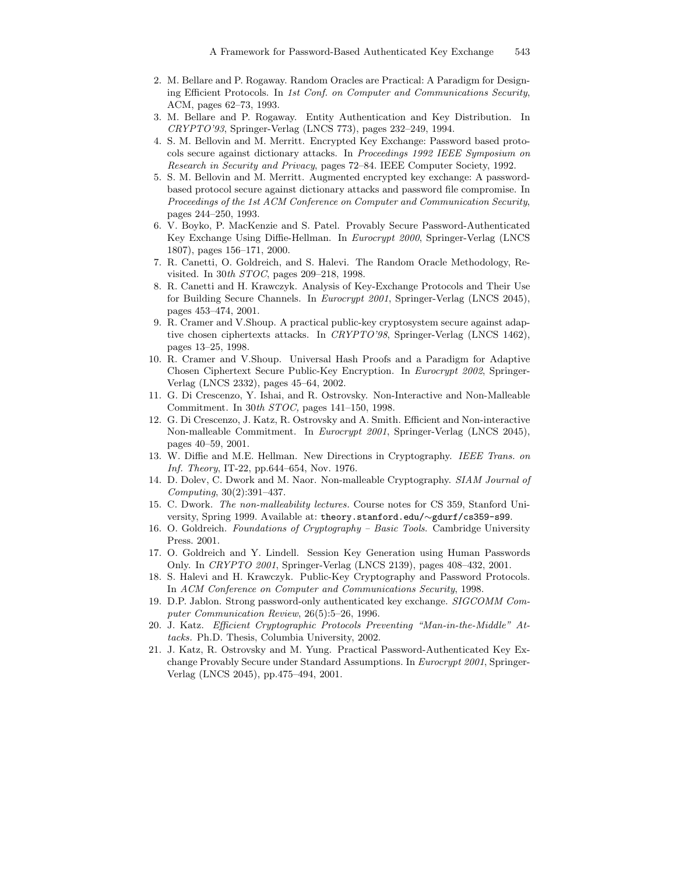- 2. M. Bellare and P. Rogaway. Random Oracles are Practical: A Paradigm for Designing Efficient Protocols. In 1st Conf. on Computer and Communications Security, ACM, pages 62–73, 1993.
- 3. M. Bellare and P. Rogaway. Entity Authentication and Key Distribution. In CRYPTO'93, Springer-Verlag (LNCS 773), pages 232–249, 1994.
- 4. S. M. Bellovin and M. Merritt. Encrypted Key Exchange: Password based protocols secure against dictionary attacks. In Proceedings 1992 IEEE Symposium on Research in Security and Privacy, pages 72–84. IEEE Computer Society, 1992.
- 5. S. M. Bellovin and M. Merritt. Augmented encrypted key exchange: A passwordbased protocol secure against dictionary attacks and password file compromise. In Proceedings of the 1st ACM Conference on Computer and Communication Security, pages 244–250, 1993.
- 6. V. Boyko, P. MacKenzie and S. Patel. Provably Secure Password-Authenticated Key Exchange Using Diffie-Hellman. In Eurocrypt 2000, Springer-Verlag (LNCS 1807), pages 156–171, 2000.
- 7. R. Canetti, O. Goldreich, and S. Halevi. The Random Oracle Methodology, Revisited. In 30th STOC, pages 209–218, 1998.
- 8. R. Canetti and H. Krawczyk. Analysis of Key-Exchange Protocols and Their Use for Building Secure Channels. In Eurocrypt 2001, Springer-Verlag (LNCS 2045), pages 453–474, 2001.
- 9. R. Cramer and V.Shoup. A practical public-key cryptosystem secure against adaptive chosen ciphertexts attacks. In CRYPTO'98, Springer-Verlag (LNCS 1462), pages 13–25, 1998.
- 10. R. Cramer and V.Shoup. Universal Hash Proofs and a Paradigm for Adaptive Chosen Ciphertext Secure Public-Key Encryption. In Eurocrypt 2002, Springer-Verlag (LNCS 2332), pages 45–64, 2002.
- 11. G. Di Crescenzo, Y. Ishai, and R. Ostrovsky. Non-Interactive and Non-Malleable Commitment. In 30th STOC, pages 141–150, 1998.
- 12. G. Di Crescenzo, J. Katz, R. Ostrovsky and A. Smith. Efficient and Non-interactive Non-malleable Commitment. In Eurocrypt 2001, Springer-Verlag (LNCS 2045), pages 40–59, 2001.
- 13. W. Diffie and M.E. Hellman. New Directions in Cryptography. IEEE Trans. on Inf. Theory, IT-22, pp.644–654, Nov. 1976.
- 14. D. Dolev, C. Dwork and M. Naor. Non-malleable Cryptography. SIAM Journal of Computing, 30(2):391–437.
- 15. C. Dwork. The non-malleability lectures. Course notes for CS 359, Stanford University, Spring 1999. Available at: theory.stanford.edu/∼gdurf/cs359-s99.
- 16. O. Goldreich. Foundations of Cryptography Basic Tools. Cambridge University Press. 2001.
- 17. O. Goldreich and Y. Lindell. Session Key Generation using Human Passwords Only. In CRYPTO 2001, Springer-Verlag (LNCS 2139), pages 408–432, 2001.
- 18. S. Halevi and H. Krawczyk. Public-Key Cryptography and Password Protocols. In ACM Conference on Computer and Communications Security, 1998.
- 19. D.P. Jablon. Strong password-only authenticated key exchange. SIGCOMM Computer Communication Review, 26(5):5–26, 1996.
- 20. J. Katz. Efficient Cryptographic Protocols Preventing "Man-in-the-Middle" Attacks. Ph.D. Thesis, Columbia University, 2002.
- 21. J. Katz, R. Ostrovsky and M. Yung. Practical Password-Authenticated Key Exchange Provably Secure under Standard Assumptions. In Eurocrypt 2001, Springer-Verlag (LNCS 2045), pp.475–494, 2001.